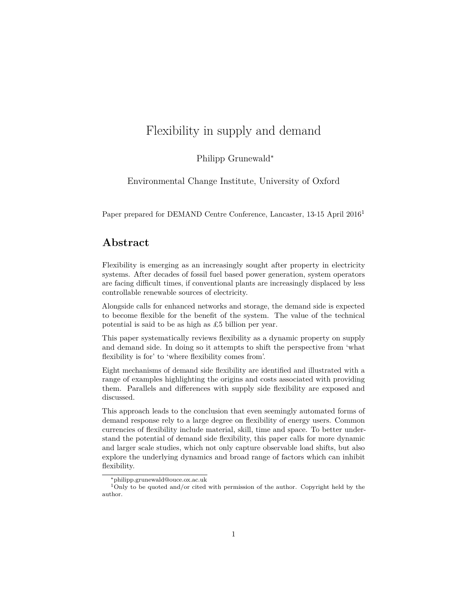# Flexibility in supply and demand

Philipp Grunewald<sup>∗</sup>

Environmental Change Institute, University of Oxford

Paper prepared for DEMAND Centre Conference, Lancaster, 13-15 April 2016[1](#page-0-0)

## **Abstract**

Flexibility is emerging as an increasingly sought after property in electricity systems. After decades of fossil fuel based power generation, system operators are facing difficult times, if conventional plants are increasingly displaced by less controllable renewable sources of electricity.

Alongside calls for enhanced networks and storage, the demand side is expected to become flexible for the benefit of the system. The value of the technical potential is said to be as high as £5 billion per year.

This paper systematically reviews flexibility as a dynamic property on supply and demand side. In doing so it attempts to shift the perspective from 'what flexibility is for' to 'where flexibility comes from'.

Eight mechanisms of demand side flexibility are identified and illustrated with a range of examples highlighting the origins and costs associated with providing them. Parallels and differences with supply side flexibility are exposed and discussed.

This approach leads to the conclusion that even seemingly automated forms of demand response rely to a large degree on flexibility of energy users. Common currencies of flexibility include material, skill, time and space. To better understand the potential of demand side flexibility, this paper calls for more dynamic and larger scale studies, which not only capture observable load shifts, but also explore the underlying dynamics and broad range of factors which can inhibit flexibility.

<span id="page-0-0"></span><sup>∗</sup>philipp.grunewald@ouce.ox.ac.uk

<sup>&</sup>lt;sup>1</sup>Only to be quoted and/or cited with permission of the author. Copyright held by the author.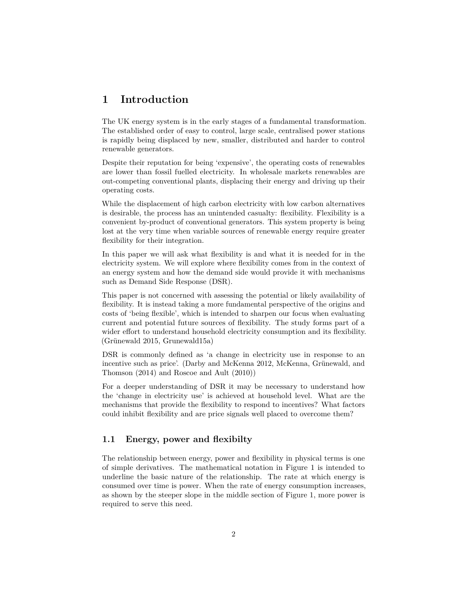## **1 Introduction**

The UK energy system is in the early stages of a fundamental transformation. The established order of easy to control, large scale, centralised power stations is rapidly being displaced by new, smaller, distributed and harder to control renewable generators.

Despite their reputation for being 'expensive', the operating costs of renewables are lower than fossil fuelled electricity. In wholesale markets renewables are out-competing conventional plants, displacing their energy and driving up their operating costs.

While the displacement of high carbon electricity with low carbon alternatives is desirable, the process has an unintended casualty: flexibility. Flexibility is a convenient by-product of conventional generators. This system property is being lost at the very time when variable sources of renewable energy require greater flexibility for their integration.

In this paper we will ask what flexibility is and what it is needed for in the electricity system. We will explore where flexibility comes from in the context of an energy system and how the demand side would provide it with mechanisms such as Demand Side Response (DSR).

This paper is not concerned with assessing the potential or likely availability of flexibility. It is instead taking a more fundamental perspective of the origins and costs of 'being flexible', which is intended to sharpen our focus when evaluating current and potential future sources of flexibility. The study forms part of a wider effort to understand household electricity consumption and its flexibility. (Grünewald 2015, Grunewald15a)

DSR is commonly defined as 'a change in electricity use in response to an incentive such as price'. (Darby and McKenna 2012, McKenna, Grünewald, and Thomson (2014) and Roscoe and Ault (2010))

For a deeper understanding of DSR it may be necessary to understand how the 'change in electricity use' is achieved at household level. What are the mechanisms that provide the flexibility to respond to incentives? What factors could inhibit flexibility and are price signals well placed to overcome them?

### **1.1 Energy, power and flexibilty**

The relationship between energy, power and flexibility in physical terms is one of simple derivatives. The mathematical notation in Figure 1 is intended to underline the basic nature of the relationship. The rate at which energy is consumed over time is power. When the rate of energy consumption increases, as shown by the steeper slope in the middle section of Figure 1, more power is required to serve this need.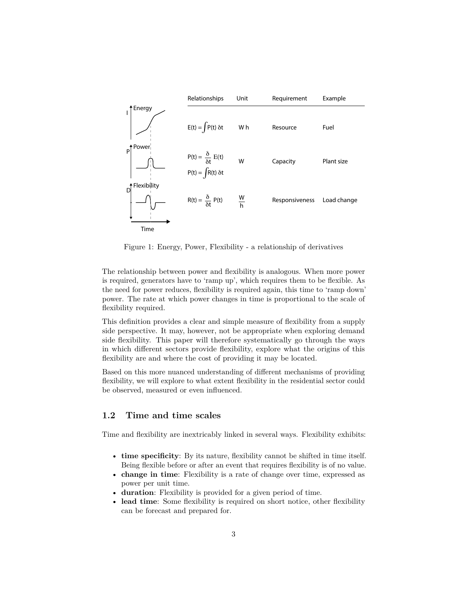

Figure 1: Energy, Power, Flexibility - a relationship of derivatives

The relationship between power and flexibility is analogous. When more power is required, generators have to 'ramp up', which requires them to be flexible. As the need for power reduces, flexibility is required again, this time to 'ramp down' power. The rate at which power changes in time is proportional to the scale of flexibility required.

This definition provides a clear and simple measure of flexibility from a supply side perspective. It may, however, not be appropriate when exploring demand side flexibility. This paper will therefore systematically go through the ways in which different sectors provide flexibility, explore what the origins of this flexibility are and where the cost of providing it may be located.

Based on this more nuanced understanding of different mechanisms of providing flexibility, we will explore to what extent flexibility in the residential sector could be observed, measured or even influenced.

### **1.2 Time and time scales**

Time and flexibility are inextricably linked in several ways. Flexibility exhibits:

- **time specificity**: By its nature, flexibility cannot be shifted in time itself. Being flexible before or after an event that requires flexibility is of no value.
- **change in time**: Flexibility is a rate of change over time, expressed as power per unit time.
- **duration**: Flexibility is provided for a given period of time.
- **lead time**: Some flexibility is required on short notice, other flexibility can be forecast and prepared for.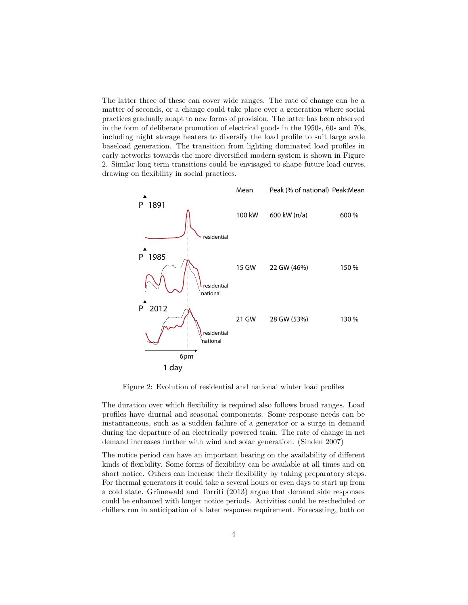The latter three of these can cover wide ranges. The rate of change can be a matter of seconds, or a change could take place over a generation where social practices gradually adapt to new forms of provision. The latter has been observed in the form of deliberate promotion of electrical goods in the 1950s, 60s and 70s, including night storage heaters to diversify the load profile to suit large scale baseload generation. The transition from lighting dominated load profiles in early networks towards the more diversified modern system is shown in Figure 2. Similar long term transitions could be envisaged to shape future load curves, drawing on flexibility in social practices.



Figure 2: Evolution of residential and national winter load profiles

The duration over which flexibility is required also follows broad ranges. Load profiles have diurnal and seasonal components. Some response needs can be instantaneous, such as a sudden failure of a generator or a surge in demand during the departure of an electrically powered train. The rate of change in net demand increases further with wind and solar generation. (Sinden 2007)

The notice period can have an important bearing on the availability of different kinds of flexibility. Some forms of flexibility can be available at all times and on short notice. Others can increase their flexibility by taking preparatory steps. For thermal generators it could take a several hours or even days to start up from a cold state. Grünewald and Torriti (2013) argue that demand side responses could be enhanced with longer notice periods. Activities could be rescheduled or chillers run in anticipation of a later response requirement. Forecasting, both on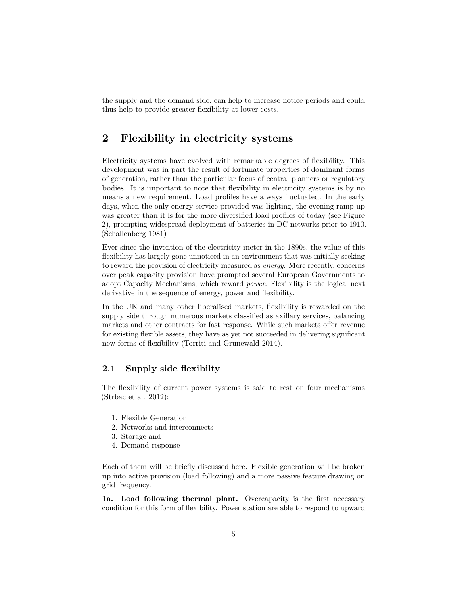the supply and the demand side, can help to increase notice periods and could thus help to provide greater flexibility at lower costs.

## **2 Flexibility in electricity systems**

Electricity systems have evolved with remarkable degrees of flexibility. This development was in part the result of fortunate properties of dominant forms of generation, rather than the particular focus of central planners or regulatory bodies. It is important to note that flexibility in electricity systems is by no means a new requirement. Load profiles have always fluctuated. In the early days, when the only energy service provided was lighting, the evening ramp up was greater than it is for the more diversified load profiles of today (see Figure 2), prompting widespread deployment of batteries in DC networks prior to 1910. (Schallenberg 1981)

Ever since the invention of the electricity meter in the 1890s, the value of this flexibility has largely gone unnoticed in an environment that was initially seeking to reward the provision of electricity measured as *energy*. More recently, concerns over peak capacity provision have prompted several European Governments to adopt Capacity Mechanisms, which reward *power*. Flexibility is the logical next derivative in the sequence of energy, power and flexibility.

In the UK and many other liberalised markets, flexibility is rewarded on the supply side through numerous markets classified as axillary services, balancing markets and other contracts for fast response. While such markets offer revenue for existing flexible assets, they have as yet not succeeded in delivering significant new forms of flexibility (Torriti and Grunewald 2014).

### **2.1 Supply side flexibilty**

The flexibility of current power systems is said to rest on four mechanisms (Strbac et al. 2012):

- 1. Flexible Generation
- 2. Networks and interconnects
- 3. Storage and
- 4. Demand response

Each of them will be briefly discussed here. Flexible generation will be broken up into active provision (load following) and a more passive feature drawing on grid frequency.

**1a. Load following thermal plant.** Overcapacity is the first necessary condition for this form of flexibility. Power station are able to respond to upward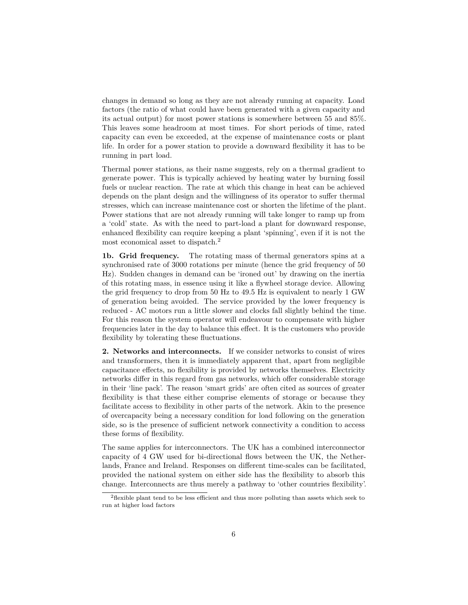changes in demand so long as they are not already running at capacity. Load factors (the ratio of what could have been generated with a given capacity and its actual output) for most power stations is somewhere between 55 and 85%. This leaves some headroom at most times. For short periods of time, rated capacity can even be exceeded, at the expense of maintenance costs or plant life. In order for a power station to provide a downward flexibility it has to be running in part load.

Thermal power stations, as their name suggests, rely on a thermal gradient to generate power. This is typically achieved by heating water by burning fossil fuels or nuclear reaction. The rate at which this change in heat can be achieved depends on the plant design and the willingness of its operator to suffer thermal stresses, which can increase maintenance cost or shorten the lifetime of the plant. Power stations that are not already running will take longer to ramp up from a 'cold' state. As with the need to part-load a plant for downward response, enhanced flexibility can require keeping a plant 'spinning', even if it is not the most economical asset to dispatch.[2](#page-5-0)

**1b. Grid frequency.** The rotating mass of thermal generators spins at a synchronised rate of 3000 rotations per minute (hence the grid frequency of 50 Hz). Sudden changes in demand can be 'ironed out' by drawing on the inertia of this rotating mass, in essence using it like a flywheel storage device. Allowing the grid frequency to drop from 50 Hz to 49.5 Hz is equivalent to nearly 1 GW of generation being avoided. The service provided by the lower frequency is reduced - AC motors run a little slower and clocks fall slightly behind the time. For this reason the system operator will endeavour to compensate with higher frequencies later in the day to balance this effect. It is the customers who provide flexibility by tolerating these fluctuations.

**2. Networks and interconnects.** If we consider networks to consist of wires and transformers, then it is immediately apparent that, apart from negligible capacitance effects, no flexibility is provided by networks themselves. Electricity networks differ in this regard from gas networks, which offer considerable storage in their 'line pack'. The reason 'smart grids' are often cited as sources of greater flexibility is that these either comprise elements of storage or because they facilitate access to flexibility in other parts of the network. Akin to the presence of overcapacity being a necessary condition for load following on the generation side, so is the presence of sufficient network connectivity a condition to access these forms of flexibility.

The same applies for interconnectors. The UK has a combined interconnector capacity of 4 GW used for bi-directional flows between the UK, the Netherlands, France and Ireland. Responses on different time-scales can be facilitated, provided the national system on either side has the flexibility to absorb this change. Interconnects are thus merely a pathway to 'other countries flexibility'.

<span id="page-5-0"></span><sup>2</sup>flexible plant tend to be less efficient and thus more polluting than assets which seek to run at higher load factors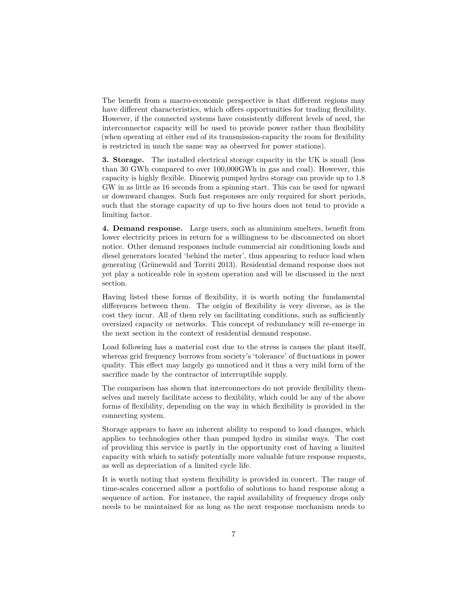The benefit from a macro-economic perspective is that different regions may have different characteristics, which offers opportunities for trading flexibility. However, if the connected systems have consistently different levels of need, the interconnector capacity will be used to provide power rather than flexibility (when operating at either end of its transmission-capacity the room for flexibility is restricted in much the same way as observed for power stations).

**3. Storage.** The installed electrical storage capacity in the UK is small (less than 30 GWh compared to over 100,000GWh in gas and coal). However, this capacity is highly flexible. Dinorwig pumped hydro storage can provide up to 1.8 GW in as little as 16 seconds from a spinning start. This can be used for upward or downward changes. Such fast responses are only required for short periods, such that the storage capacity of up to five hours does not tend to provide a limiting factor.

**4. Demand response.** Large users, such as aluminium smelters, benefit from lower electricity prices in return for a willingness to be disconnected on short notice. Other demand responses include commercial air conditioning loads and diesel generators located 'behind the meter', thus appearing to reduce load when generating (Grünewald and Torriti 2013). Residential demand response does not yet play a noticeable role in system operation and will be discussed in the next section.

Having listed these forms of flexibility, it is worth noting the fundamental differences between them. The origin of flexibility is very diverse, as is the cost they incur. All of them rely on facilitating conditions, such as sufficiently oversized capacity or networks. This concept of redundancy will re-emerge in the next section in the context of residential demand response.

Load following has a material cost due to the stress is causes the plant itself, whereas grid frequency borrows from society's 'tolerance' of fluctuations in power quality. This effect may largely go unnoticed and it thus a very mild form of the sacrifice made by the contractor of interruptible supply.

The comparison has shown that interconnectors do not provide flexibility themselves and merely facilitate access to flexibility, which could be any of the above forms of flexibility, depending on the way in which flexibility is provided in the connecting system.

Storage appears to have an inherent ability to respond to load changes, which applies to technologies other than pumped hydro in similar ways. The cost of providing this service is partly in the opportunity cost of having a limited capacity with which to satisfy potentially more valuable future response requests, as well as depreciation of a limited cycle life.

It is worth noting that system flexibility is provided in concert. The range of time-scales concerned allow a portfolio of solutions to hand response along a sequence of action. For instance, the rapid availability of frequency drops only needs to be maintained for as long as the next response mechanism needs to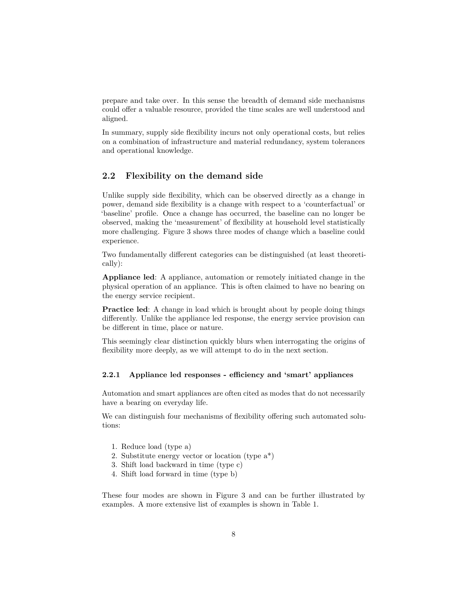prepare and take over. In this sense the breadth of demand side mechanisms could offer a valuable resource, provided the time scales are well understood and aligned.

In summary, supply side flexibility incurs not only operational costs, but relies on a combination of infrastructure and material redundancy, system tolerances and operational knowledge.

## **2.2 Flexibility on the demand side**

Unlike supply side flexibility, which can be observed directly as a change in power, demand side flexibility is a change with respect to a 'counterfactual' or 'baseline' profile. Once a change has occurred, the baseline can no longer be observed, making the 'measurement' of flexibility at household level statistically more challenging. Figure 3 shows three modes of change which a baseline could experience.

Two fundamentally different categories can be distinguished (at least theoretically):

**Appliance led**: A appliance, automation or remotely initiated change in the physical operation of an appliance. This is often claimed to have no bearing on the energy service recipient.

**Practice led**: A change in load which is brought about by people doing things differently. Unlike the appliance led response, the energy service provision can be different in time, place or nature.

This seemingly clear distinction quickly blurs when interrogating the origins of flexibility more deeply, as we will attempt to do in the next section.

#### **2.2.1 Appliance led responses - efficiency and 'smart' appliances**

Automation and smart appliances are often cited as modes that do not necessarily have a bearing on everyday life.

We can distinguish four mechanisms of flexibility offering such automated solutions:

- 1. Reduce load (type a)
- 2. Substitute energy vector or location (type a\*)
- 3. Shift load backward in time (type c)
- 4. Shift load forward in time (type b)

These four modes are shown in Figure 3 and can be further illustrated by examples. A more extensive list of examples is shown in Table 1.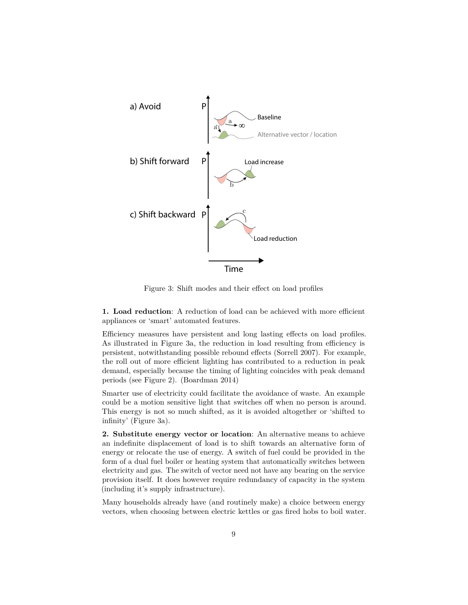

Figure 3: Shift modes and their effect on load profiles

**1. Load reduction**: A reduction of load can be achieved with more efficient appliances or 'smart' automated features.

Efficiency measures have persistent and long lasting effects on load profiles. As illustrated in Figure 3a, the reduction in load resulting from efficiency is persistent, notwithstanding possible rebound effects (Sorrell 2007). For example, the roll out of more efficient lighting has contributed to a reduction in peak demand, especially because the timing of lighting coincides with peak demand periods (see Figure 2). (Boardman 2014)

Smarter use of electricity could facilitate the avoidance of waste. An example could be a motion sensitive light that switches off when no person is around. This energy is not so much shifted, as it is avoided altogether or 'shifted to infinity' (Figure 3a).

**2. Substitute energy vector or location**: An alternative means to achieve an indefinite displacement of load is to shift towards an alternative form of energy or relocate the use of energy. A switch of fuel could be provided in the form of a dual fuel boiler or heating system that automatically switches between electricity and gas. The switch of vector need not have any bearing on the service provision itself. It does however require redundancy of capacity in the system (including it's supply infrastructure).

Many households already have (and routinely make) a choice between energy vectors, when choosing between electric kettles or gas fired hobs to boil water.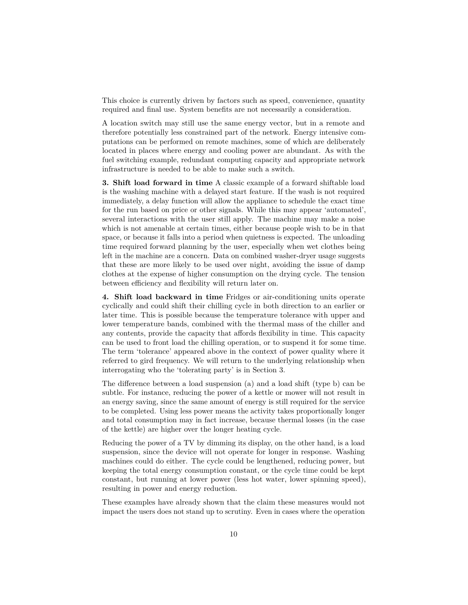This choice is currently driven by factors such as speed, convenience, quantity required and final use. System benefits are not necessarily a consideration.

A location switch may still use the same energy vector, but in a remote and therefore potentially less constrained part of the network. Energy intensive computations can be performed on remote machines, some of which are deliberately located in places where energy and cooling power are abundant. As with the fuel switching example, redundant computing capacity and appropriate network infrastructure is needed to be able to make such a switch.

**3. Shift load forward in time** A classic example of a forward shiftable load is the washing machine with a delayed start feature. If the wash is not required immediately, a delay function will allow the appliance to schedule the exact time for the run based on price or other signals. While this may appear 'automated', several interactions with the user still apply. The machine may make a noise which is not amenable at certain times, either because people wish to be in that space, or because it falls into a period when quietness is expected. The unloading time required forward planning by the user, especially when wet clothes being left in the machine are a concern. Data on combined washer-dryer usage suggests that these are more likely to be used over night, avoiding the issue of damp clothes at the expense of higher consumption on the drying cycle. The tension between efficiency and flexibility will return later on.

**4. Shift load backward in time** Fridges or air-conditioning units operate cyclically and could shift their chilling cycle in both direction to an earlier or later time. This is possible because the temperature tolerance with upper and lower temperature bands, combined with the thermal mass of the chiller and any contents, provide the capacity that affords flexibility in time. This capacity can be used to front load the chilling operation, or to suspend it for some time. The term 'tolerance' appeared above in the context of power quality where it referred to gird frequency. We will return to the underlying relationship when interrogating who the 'tolerating party' is in Section 3.

The difference between a load suspension (a) and a load shift (type b) can be subtle. For instance, reducing the power of a kettle or mower will not result in an energy saving, since the same amount of energy is still required for the service to be completed. Using less power means the activity takes proportionally longer and total consumption may in fact increase, because thermal losses (in the case of the kettle) are higher over the longer heating cycle.

Reducing the power of a TV by dimming its display, on the other hand, is a load suspension, since the device will not operate for longer in response. Washing machines could do either. The cycle could be lengthened, reducing power, but keeping the total energy consumption constant, or the cycle time could be kept constant, but running at lower power (less hot water, lower spinning speed), resulting in power and energy reduction.

These examples have already shown that the claim these measures would not impact the users does not stand up to scrutiny. Even in cases where the operation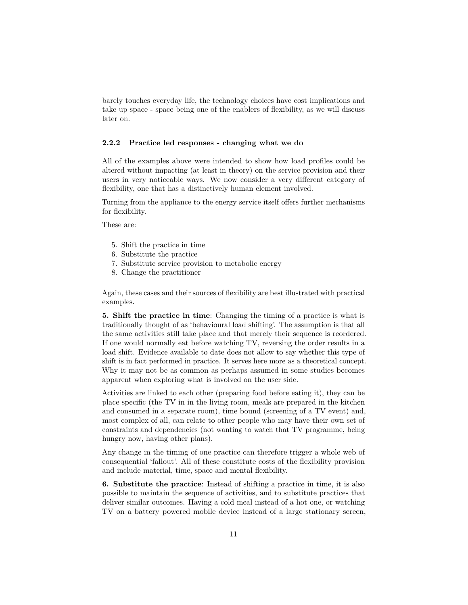barely touches everyday life, the technology choices have cost implications and take up space - space being one of the enablers of flexibility, as we will discuss later on.

#### **2.2.2 Practice led responses - changing what we do**

All of the examples above were intended to show how load profiles could be altered without impacting (at least in theory) on the service provision and their users in very noticeable ways. We now consider a very different category of flexibility, one that has a distinctively human element involved.

Turning from the appliance to the energy service itself offers further mechanisms for flexibility.

These are:

- 5. Shift the practice in time
- 6. Substitute the practice
- 7. Substitute service provision to metabolic energy
- 8. Change the practitioner

Again, these cases and their sources of flexibility are best illustrated with practical examples.

**5. Shift the practice in time**: Changing the timing of a practice is what is traditionally thought of as 'behavioural load shifting'. The assumption is that all the same activities still take place and that merely their sequence is reordered. If one would normally eat before watching TV, reversing the order results in a load shift. Evidence available to date does not allow to say whether this type of shift is in fact performed in practice. It serves here more as a theoretical concept. Why it may not be as common as perhaps assumed in some studies becomes apparent when exploring what is involved on the user side.

Activities are linked to each other (preparing food before eating it), they can be place specific (the TV in in the living room, meals are prepared in the kitchen and consumed in a separate room), time bound (screening of a TV event) and, most complex of all, can relate to other people who may have their own set of constraints and dependencies (not wanting to watch that TV programme, being hungry now, having other plans).

Any change in the timing of one practice can therefore trigger a whole web of consequential 'fallout'. All of these constitute costs of the flexibility provision and include material, time, space and mental flexibility.

**6. Substitute the practice**: Instead of shifting a practice in time, it is also possible to maintain the sequence of activities, and to substitute practices that deliver similar outcomes. Having a cold meal instead of a hot one, or watching TV on a battery powered mobile device instead of a large stationary screen,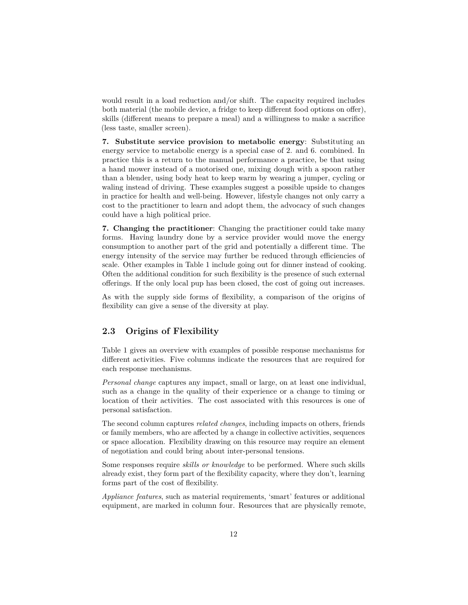would result in a load reduction and/or shift. The capacity required includes both material (the mobile device, a fridge to keep different food options on offer), skills (different means to prepare a meal) and a willingness to make a sacrifice (less taste, smaller screen).

**7. Substitute service provision to metabolic energy**: Substituting an energy service to metabolic energy is a special case of 2. and 6. combined. In practice this is a return to the manual performance a practice, be that using a hand mower instead of a motorised one, mixing dough with a spoon rather than a blender, using body heat to keep warm by wearing a jumper, cycling or waling instead of driving. These examples suggest a possible upside to changes in practice for health and well-being. However, lifestyle changes not only carry a cost to the practitioner to learn and adopt them, the advocacy of such changes could have a high political price.

**7. Changing the practitioner**: Changing the practitioner could take many forms. Having laundry done by a service provider would move the energy consumption to another part of the grid and potentially a different time. The energy intensity of the service may further be reduced through efficiencies of scale. Other examples in Table 1 include going out for dinner instead of cooking. Often the additional condition for such flexibility is the presence of such external offerings. If the only local pup has been closed, the cost of going out increases.

As with the supply side forms of flexibility, a comparison of the origins of flexibility can give a sense of the diversity at play.

## **2.3 Origins of Flexibility**

Table 1 gives an overview with examples of possible response mechanisms for different activities. Five columns indicate the resources that are required for each response mechanisms.

*Personal change* captures any impact, small or large, on at least one individual, such as a change in the quality of their experience or a change to timing or location of their activities. The cost associated with this resources is one of personal satisfaction.

The second column captures *related changes*, including impacts on others, friends or family members, who are affected by a change in collective activities, sequences or space allocation. Flexibility drawing on this resource may require an element of negotiation and could bring about inter-personal tensions.

Some responses require *skills or knowledge* to be performed. Where such skills already exist, they form part of the flexibility capacity, where they don't, learning forms part of the cost of flexibility.

*Appliance features*, such as material requirements, 'smart' features or additional equipment, are marked in column four. Resources that are physically remote,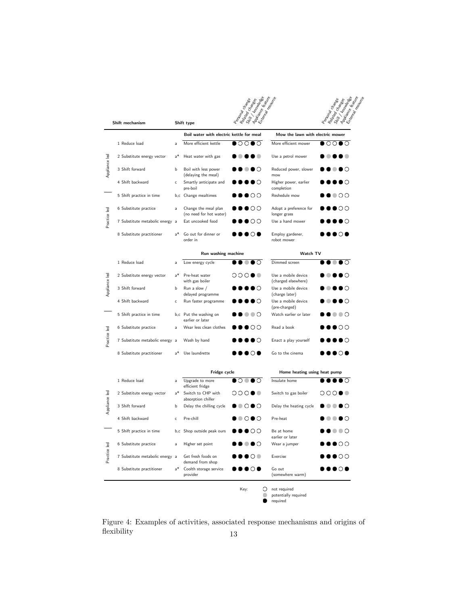|                 |                                 |                              |                                                 | Rear Cross Rear<br>Appiance Feature<br>Postonal Change |                                                  | / Knowledge<br>Appince Keature<br>Exemplo resource<br>Related Changes<br>Postonal Claydes |
|-----------------|---------------------------------|------------------------------|-------------------------------------------------|--------------------------------------------------------|--------------------------------------------------|-------------------------------------------------------------------------------------------|
| Shift mechanism |                                 | Exempt Regular<br>Shift type |                                                 |                                                        |                                                  |                                                                                           |
|                 |                                 |                              | Boil water with electric kettle for meal        |                                                        | Mow the lawn with electric mower                 |                                                                                           |
| Appliance led   | 1 Reduce load                   | $\overline{a}$               | More efficient kettle                           | $\circ\circ\bullet\circ$                               | More efficient mower                             | OΟ                                                                                        |
|                 | 2 Substitute energy vector      | $a^*$                        | Heat water with gas                             |                                                        | Use a petrol mower                               |                                                                                           |
|                 | 3 Shift forward                 | b                            | Boil with less power<br>(delaying the meal)     | ∙ ● ⊙                                                  | Reduced power, slower<br>mow                     | .                                                                                         |
|                 | 4 Shift backward                | $\mathsf{C}$                 | Smartly anticipate and<br>pre-boil              |                                                        | Higher power, earlier<br>completion              | $\bullet$ $\circ$                                                                         |
| Practice led    | 5 Shift practice in time        |                              | b,c Change mealtimes                            | $\bullet\bullet\circ\circ$                             | Reshedule mow                                    | $\bullet$ 00                                                                              |
|                 | 6 Substitute practice           | a                            | Change the meal plan<br>(no need for hot water) | $\bullet\bullet\bullet\circ\circ$                      | Adopt a preference for<br>longer grass           | $\bullet\bullet\circ\circ$                                                                |
|                 | 7 Substitute metabolic energy a |                              | Eat uncooked food                               | $\bullet\bullet\circ\circ$                             | Use a hand mower                                 | $\bullet\bullet\circ$                                                                     |
|                 | 8 Substitute practitioner       | $a^*$                        | Go out for dinner or<br>order in                | ∙•⊙•                                                   | Employ gardener,<br>robot mower                  | ∙•⊙•                                                                                      |
|                 |                                 |                              | Run washing machine                             |                                                        | Watch TV                                         |                                                                                           |
| Appliance led   | 1 Reduce load                   | a                            | Low energy cycle                                | $\bullet$ $\circ$                                      | Dimmed screen                                    | $\bullet$ $\circ$                                                                         |
|                 | 2 Substitute energy vector      | $a^*$                        | Pre-heat water<br>with gas boiler               | ◦◦◦◦                                                   | Use a mobile device<br>(charged elsewhere)       | $\bullet\bullet\circ$                                                                     |
|                 | 3 Shift forward                 | b                            | Run a slow /<br>delayed programme               | . 0                                                    | Use a mobile device<br>(charge later)            | $\bullet\bullet\circ$                                                                     |
|                 | 4 Shift backward                | c                            | Run faster programme                            | ∙●●○                                                   | Use a mobile device<br>(pre-charged)             | $\bullet$ $\circ$                                                                         |
| Practice led    | 5 Shift practice in time        |                              | b,c Put the washing on<br>earlier or later      | $\circ \circ \circ$                                    | Watch earlier or later                           | ∙⊪•⊙                                                                                      |
|                 | 6 Substitute practice           | $\overline{a}$               | Wear less clean clothes                         | $\bullet\bullet\circ\circ$                             | Read a book                                      | $\bullet\bullet\circ\circ$                                                                |
|                 | 7 Substitute metabolic energy a |                              | Wash by hand                                    | ∙●●○                                                   | Enact a play yourself                            | ◗●●◯                                                                                      |
|                 | 8 Substitute practitioner       | $a^*$                        | Use laundrette                                  | ∙•⊙•                                                   | Go to the cinema                                 | ≀೧●                                                                                       |
|                 |                                 |                              | Fridge cycle                                    |                                                        | Home heating using heat pump                     |                                                                                           |
| Appliance led   | 1 Reduce load                   | a                            | Upgrade to more                                 | $\circ\bullet\bullet\circ$                             | Insulate home                                    | O                                                                                         |
|                 | 2 Substitute energy vector      | $a^*$                        | efficient fridge<br>Switch to CHP with          | 000●●                                                  | Switch to gas boiler                             | 000●●                                                                                     |
|                 | 3 Shift forward                 | b                            | absorption chiller<br>Delay the chilling cycle  | $\circ\,\bullet\,\circ$                                | Delay the heating cycle                          | .                                                                                         |
|                 | 4 Shift backward                | c                            | Pre-chill                                       | ◉◔◕◔                                                   | Pre-heat                                         | Ю                                                                                         |
| Practice led    | 5 Shift practice in time        |                              | b,c Shop outside peak ours                      | ∙●○○                                                   | Be at home                                       | O                                                                                         |
|                 | 6 Substitute practice           | a                            | Higher set point                                | $\bullet\,\circ$                                       | earlier or later<br>Wear a jumper                | ◗●◔◔                                                                                      |
|                 | 7 Substitute metabolic energy a |                              | Get fresh foods on                              | ΟO                                                     | Exercise                                         | $\bullet$ oo                                                                              |
|                 |                                 | $a^*$                        | demand from shop                                |                                                        |                                                  | $\circ$ $\bullet$                                                                         |
|                 | 8 Substitute practitioner       |                              | Coolth storage service<br>provider              | $\circ\bullet$                                         | Go out<br>(somewhere warm)                       |                                                                                           |
|                 |                                 |                              |                                                 | Key:<br>O                                              | not required<br>potentially required<br>required |                                                                                           |

Figure 4: Examples of activities, associated response mechanisms and origins of flexibility  $\hfill$  13  $\hfill$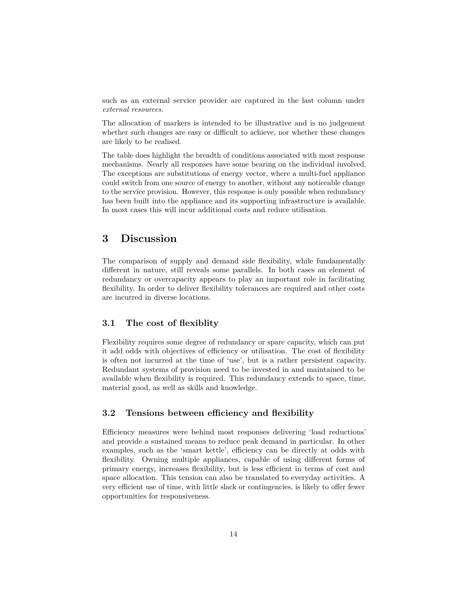such as an external service provider are captured in the last column under *external resources*.

The allocation of markers is intended to be illustrative and is no judgement whether such changes are easy or difficult to achieve, nor whether these changes are likely to be realised.

The table does highlight the breadth of conditions associated with most response mechanisms. Nearly all responses have some bearing on the individual involved. The exceptions are substitutions of energy vector, where a multi-fuel appliance could switch from one source of energy to another, without any noticeable change to the service provision. However, this response is only possible when redundancy has been built into the appliance and its supporting infrastructure is available. In most cases this will incur additional costs and reduce utilisation.

## **3 Discussion**

The comparison of supply and demand side flexibility, while fundamentally different in nature, still reveals some parallels. In both cases an element of redundancy or overcapacity appears to play an important role in facilitating flexibility. In order to deliver flexibility tolerances are required and other costs are incurred in diverse locations.

### **3.1 The cost of flexiblity**

Flexibility requires some degree of redundancy or spare capacity, which can put it add odds with objectives of efficiency or utilisation. The cost of flexibility is often not incurred at the time of 'use', but is a rather persistent capacity. Redundant systems of provision need to be invested in and maintained to be available when flexibility is required. This redundancy extends to space, time, material good, as well as skills and knowledge.

### **3.2 Tensions between efficiency and flexibility**

Efficiency measures were behind most responses delivering 'load reductions' and provide a sustained means to reduce peak demand in particular. In other examples, such as the 'smart kettle', efficiency can be directly at odds with flexibility. Owning multiple appliances, capable of using different forms of primary energy, increases flexibility, but is less efficient in terms of cost and space allocation. This tension can also be translated to everyday activities. A very efficient use of time, with little slack or contingencies, is likely to offer fewer opportunities for responsiveness.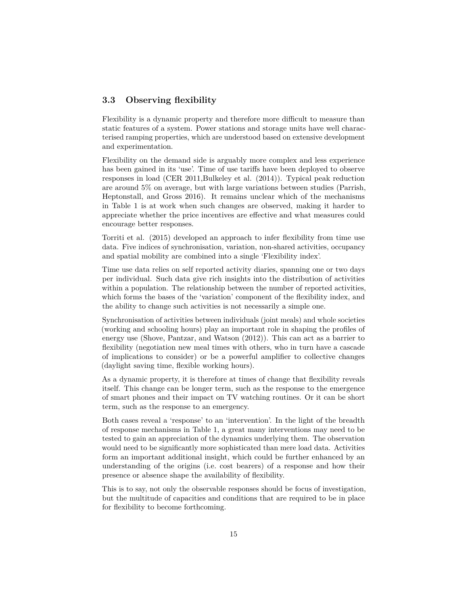### **3.3 Observing flexibility**

Flexibility is a dynamic property and therefore more difficult to measure than static features of a system. Power stations and storage units have well characterised ramping properties, which are understood based on extensive development and experimentation.

Flexibility on the demand side is arguably more complex and less experience has been gained in its 'use'. Time of use tariffs have been deployed to observe responses in load (CER 2011,Bulkeley et al. (2014)). Typical peak reduction are around 5% on average, but with large variations between studies (Parrish, Heptonstall, and Gross 2016). It remains unclear which of the mechanisms in Table 1 is at work when such changes are observed, making it harder to appreciate whether the price incentives are effective and what measures could encourage better responses.

Torriti et al. (2015) developed an approach to infer flexibility from time use data. Five indices of synchronisation, variation, non-shared activities, occupancy and spatial mobility are combined into a single 'Flexibility index'.

Time use data relies on self reported activity diaries, spanning one or two days per individual. Such data give rich insights into the distribution of activities within a population. The relationship between the number of reported activities, which forms the bases of the 'variation' component of the flexibility index, and the ability to change such activities is not necessarily a simple one.

Synchronisation of activities between individuals (joint meals) and whole societies (working and schooling hours) play an important role in shaping the profiles of energy use (Shove, Pantzar, and Watson (2012)). This can act as a barrier to flexibility (negotiation new meal times with others, who in turn have a cascade of implications to consider) or be a powerful amplifier to collective changes (daylight saving time, flexible working hours).

As a dynamic property, it is therefore at times of change that flexibility reveals itself. This change can be longer term, such as the response to the emergence of smart phones and their impact on TV watching routines. Or it can be short term, such as the response to an emergency.

Both cases reveal a 'response' to an 'intervention'. In the light of the breadth of response mechanisms in Table 1, a great many interventions may need to be tested to gain an appreciation of the dynamics underlying them. The observation would need to be significantly more sophisticated than mere load data. Activities form an important additional insight, which could be further enhanced by an understanding of the origins (i.e. cost bearers) of a response and how their presence or absence shape the availability of flexibility.

This is to say, not only the observable responses should be focus of investigation, but the multitude of capacities and conditions that are required to be in place for flexibility to become forthcoming.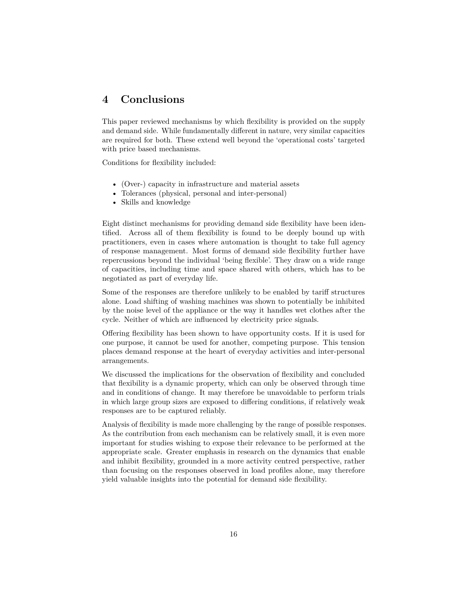## **4 Conclusions**

This paper reviewed mechanisms by which flexibility is provided on the supply and demand side. While fundamentally different in nature, very similar capacities are required for both. These extend well beyond the 'operational costs' targeted with price based mechanisms.

Conditions for flexibility included:

- (Over-) capacity in infrastructure and material assets
- Tolerances (physical, personal and inter-personal)
- Skills and knowledge

Eight distinct mechanisms for providing demand side flexibility have been identified. Across all of them flexibility is found to be deeply bound up with practitioners, even in cases where automation is thought to take full agency of response management. Most forms of demand side flexibility further have repercussions beyond the individual 'being flexible'. They draw on a wide range of capacities, including time and space shared with others, which has to be negotiated as part of everyday life.

Some of the responses are therefore unlikely to be enabled by tariff structures alone. Load shifting of washing machines was shown to potentially be inhibited by the noise level of the appliance or the way it handles wet clothes after the cycle. Neither of which are influenced by electricity price signals.

Offering flexibility has been shown to have opportunity costs. If it is used for one purpose, it cannot be used for another, competing purpose. This tension places demand response at the heart of everyday activities and inter-personal arrangements.

We discussed the implications for the observation of flexibility and concluded that flexibility is a dynamic property, which can only be observed through time and in conditions of change. It may therefore be unavoidable to perform trials in which large group sizes are exposed to differing conditions, if relatively weak responses are to be captured reliably.

Analysis of flexibility is made more challenging by the range of possible responses. As the contribution from each mechanism can be relatively small, it is even more important for studies wishing to expose their relevance to be performed at the appropriate scale. Greater emphasis in research on the dynamics that enable and inhibit flexibility, grounded in a more activity centred perspective, rather than focusing on the responses observed in load profiles alone, may therefore yield valuable insights into the potential for demand side flexibility.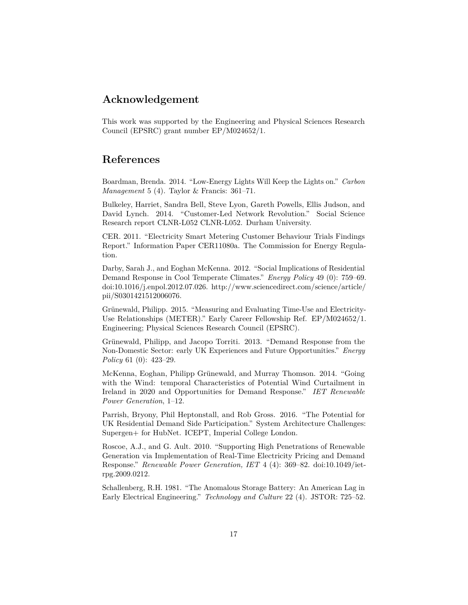## **Acknowledgement**

This work was supported by the Engineering and Physical Sciences Research Council (EPSRC) grant number EP/M024652/1.

## **References**

Boardman, Brenda. 2014. "Low-Energy Lights Will Keep the Lights on." *Carbon Management* 5 (4). Taylor & Francis: 361–71.

Bulkeley, Harriet, Sandra Bell, Steve Lyon, Gareth Powells, Ellis Judson, and David Lynch. 2014. "Customer-Led Network Revolution." Social Science Research report CLNR-L052 CLNR-L052. Durham University.

CER. 2011. "Electricity Smart Metering Customer Behaviour Trials Findings Report." Information Paper CER11080a. The Commission for Energy Regulation.

Darby, Sarah J., and Eoghan McKenna. 2012. "Social Implications of Residential Demand Response in Cool Temperate Climates." *Energy Policy* 49 (0): 759–69. doi[:10.1016/j.enpol.2012.07.026.](http://dx.doi.org/10.1016/j.enpol.2012.07.026) [http://www.sciencedirect.com/science/article/](http://www.sciencedirect.com/science/article/pii/S0301421512006076) [pii/S0301421512006076.](http://www.sciencedirect.com/science/article/pii/S0301421512006076)

Grünewald, Philipp. 2015. "Measuring and Evaluating Time-Use and Electricity-Use Relationships (METER)." Early Career Fellowship Ref. EP/M024652/1. Engineering; Physical Sciences Research Council (EPSRC).

Grünewald, Philipp, and Jacopo Torriti. 2013. "Demand Response from the Non-Domestic Sector: early UK Experiences and Future Opportunities." *Energy Policy* 61 (0): 423–29.

McKenna, Eoghan, Philipp Grünewald, and Murray Thomson. 2014. "Going with the Wind: temporal Characteristics of Potential Wind Curtailment in Ireland in 2020 and Opportunities for Demand Response." *IET Renewable Power Generation*, 1–12.

Parrish, Bryony, Phil Heptonstall, and Rob Gross. 2016. "The Potential for UK Residential Demand Side Participation." System Architecture Challenges: Supergen+ for HubNet. ICEPT, Imperial College London.

Roscoe, A.J., and G. Ault. 2010. "Supporting High Penetrations of Renewable Generation via Implementation of Real-Time Electricity Pricing and Demand Response." *Renewable Power Generation, IET* 4 (4): 369–82. doi[:10.1049/iet](http://dx.doi.org/10.1049/iet-rpg.2009.0212)[rpg.2009.0212.](http://dx.doi.org/10.1049/iet-rpg.2009.0212)

Schallenberg, R.H. 1981. "The Anomalous Storage Battery: An American Lag in Early Electrical Engineering." *Technology and Culture* 22 (4). JSTOR: 725–52.